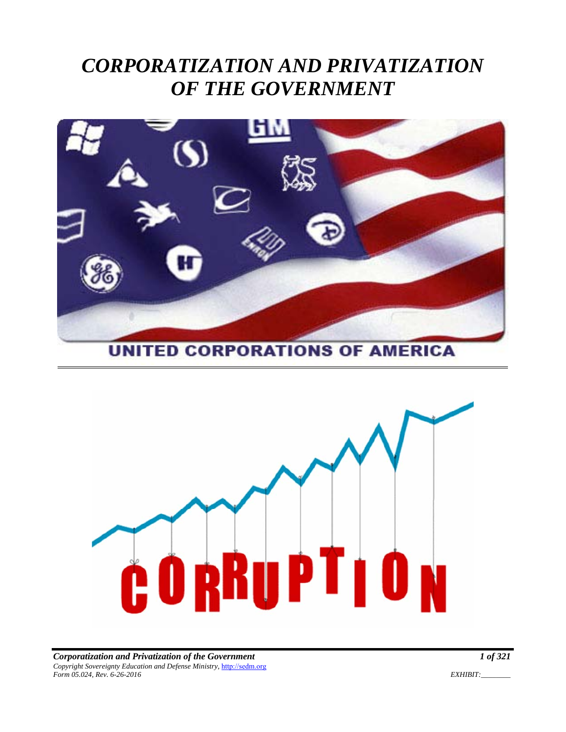# *CORPORATIZATION AND PRIVATIZATION OF THE GOVERNMENT*



**UNITED CORPORATIONS OF AMERICA** 

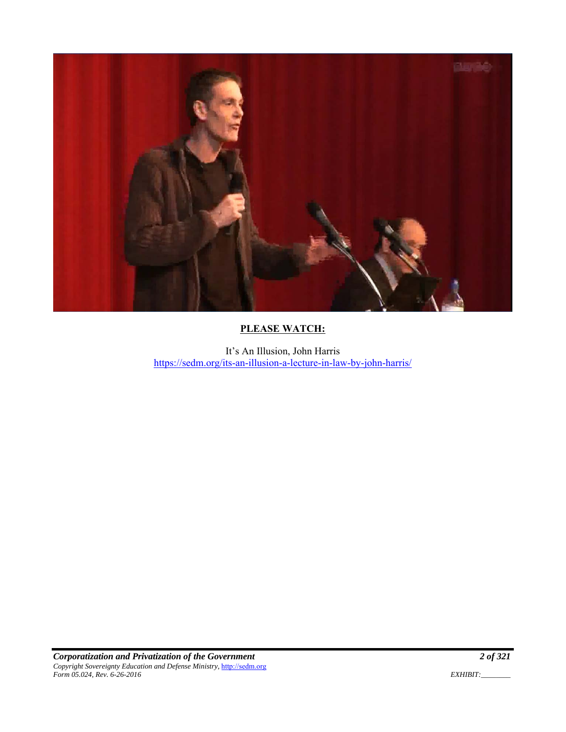

## **PLEASE WATCH:**

It's An Illusion, John Harris https://sedm.org/its-an-illusion-a-lecture-in-law-by-john-harris/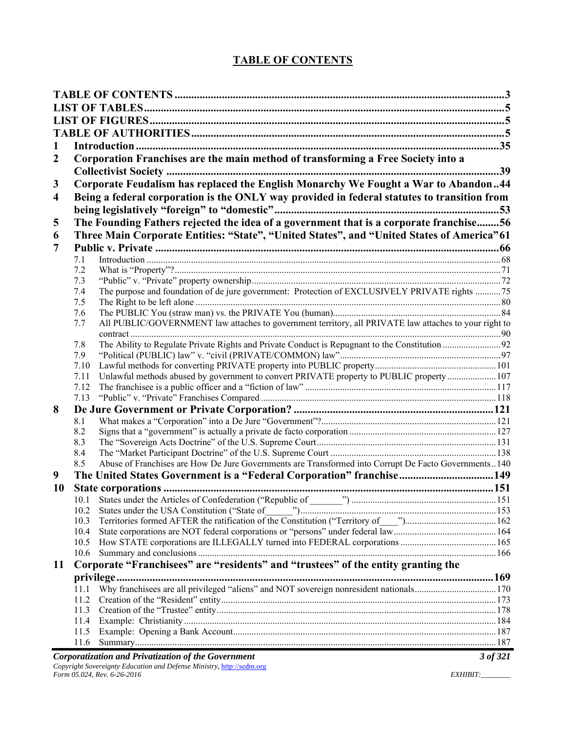# **TABLE OF CONTENTS**

| 1                       |              |                                                                                                       |          |
|-------------------------|--------------|-------------------------------------------------------------------------------------------------------|----------|
| $\boldsymbol{2}$        |              | Corporation Franchises are the main method of transforming a Free Society into a                      |          |
|                         |              |                                                                                                       |          |
|                         |              |                                                                                                       | 39       |
| 3                       |              | Corporate Feudalism has replaced the English Monarchy We Fought a War to Abandon44                    |          |
| $\overline{\mathbf{4}}$ |              | Being a federal corporation is the ONLY way provided in federal statutes to transition from           |          |
|                         |              |                                                                                                       |          |
| 5                       |              | The Founding Fathers rejected the idea of a government that is a corporate franchise56                |          |
| 6                       |              | Three Main Corporate Entities: "State", "United States", and "United States of America" 61            |          |
| 7                       |              |                                                                                                       |          |
|                         | 7.1          |                                                                                                       |          |
|                         | 7.2          |                                                                                                       |          |
|                         | 7.3          |                                                                                                       |          |
|                         | 7.4          | The purpose and foundation of de jure government: Protection of EXCLUSIVELY PRIVATE rights 75         |          |
|                         | 7.5          |                                                                                                       |          |
|                         | 7.6          |                                                                                                       |          |
|                         | 7.7          | All PUBLIC/GOVERNMENT law attaches to government territory, all PRIVATE law attaches to your right to |          |
|                         |              |                                                                                                       |          |
|                         | 7.8          |                                                                                                       |          |
|                         | 7.9          |                                                                                                       |          |
|                         | 7.10         |                                                                                                       |          |
|                         | 7.11         | Unlawful methods abused by government to convert PRIVATE property to PUBLIC property  107             |          |
|                         | 7.12<br>7.13 |                                                                                                       |          |
| 8                       |              |                                                                                                       |          |
|                         | 8.1          |                                                                                                       |          |
|                         | 8.2          |                                                                                                       |          |
|                         | 8.3          |                                                                                                       |          |
|                         | 8.4          |                                                                                                       |          |
|                         | 8.5          | Abuse of Franchises are How De Jure Governments are Transformed into Corrupt De Facto Governments140  |          |
| 9                       |              | The United States Government is a "Federal Corporation" franchise 149                                 |          |
| 10                      |              |                                                                                                       |          |
|                         |              |                                                                                                       |          |
|                         | 10.2         |                                                                                                       |          |
|                         | 10.3         |                                                                                                       |          |
|                         | 10.4         |                                                                                                       |          |
|                         | 10.5         |                                                                                                       |          |
|                         | 10.6         |                                                                                                       |          |
| 11                      |              | Corporate "Franchisees" are "residents" and "trustees" of the entity granting the                     |          |
|                         |              |                                                                                                       |          |
|                         | 11.1         |                                                                                                       |          |
|                         | 11.2         |                                                                                                       |          |
|                         | 11.3         |                                                                                                       |          |
|                         | 11.4         |                                                                                                       |          |
|                         | 11.5         |                                                                                                       |          |
|                         | 11.6         |                                                                                                       |          |
|                         |              | Corporatization and Privatization of the Government                                                   | 3 of 321 |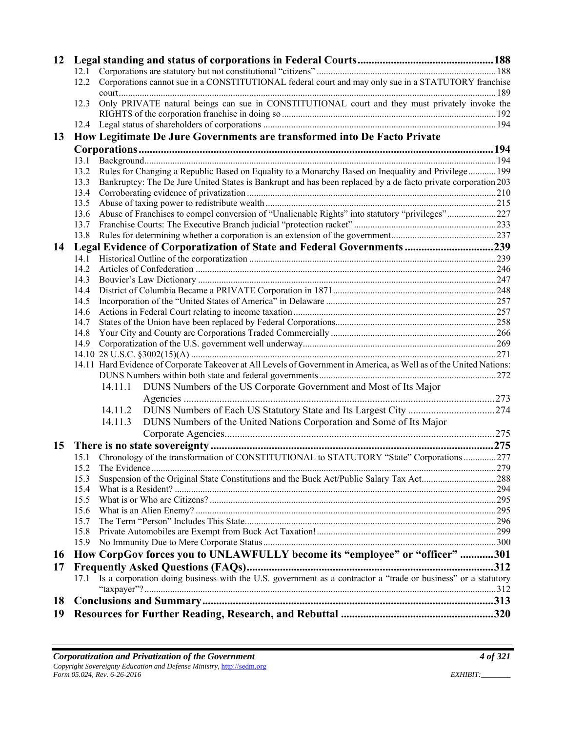| 12        |      |         |                                                                                                                     |  |
|-----------|------|---------|---------------------------------------------------------------------------------------------------------------------|--|
|           |      |         |                                                                                                                     |  |
|           | 12.2 |         | Corporations cannot sue in a CONSTITUTIONAL federal court and may only sue in a STATUTORY franchise                 |  |
|           | 12.3 |         | Only PRIVATE natural beings can sue in CONSTITUTIONAL court and they must privately invoke the                      |  |
|           |      |         |                                                                                                                     |  |
|           |      |         |                                                                                                                     |  |
| 13        |      |         | How Legitimate De Jure Governments are transformed into De Facto Private                                            |  |
|           |      |         |                                                                                                                     |  |
|           | 13.1 |         |                                                                                                                     |  |
|           | 13.2 |         | Rules for Changing a Republic Based on Equality to a Monarchy Based on Inequality and Privilege 199                 |  |
|           | 13.3 |         | Bankruptcy: The De Jure United States is Bankrupt and has been replaced by a de facto private corporation 203       |  |
|           | 13.4 |         |                                                                                                                     |  |
|           | 13.5 |         |                                                                                                                     |  |
|           | 13.6 |         | Abuse of Franchises to compel conversion of "Unalienable Rights" into statutory "privileges"227                     |  |
|           | 13.7 |         |                                                                                                                     |  |
|           | 13.8 |         |                                                                                                                     |  |
| 14        |      |         | Legal Evidence of Corporatization of State and Federal Governments 239                                              |  |
|           | 14.1 |         |                                                                                                                     |  |
|           | 14.2 |         |                                                                                                                     |  |
|           | 14.3 |         |                                                                                                                     |  |
|           | 14.4 |         |                                                                                                                     |  |
|           | 14.5 |         |                                                                                                                     |  |
|           | 14.6 |         |                                                                                                                     |  |
|           | 14.7 |         |                                                                                                                     |  |
|           | 14.8 |         |                                                                                                                     |  |
|           | 14.9 |         |                                                                                                                     |  |
|           |      |         |                                                                                                                     |  |
|           |      |         | 14.11 Hard Evidence of Corporate Takeover at All Levels of Government in America, as Well as of the United Nations: |  |
|           |      |         |                                                                                                                     |  |
|           |      | 14.11.1 | DUNS Numbers of the US Corporate Government and Most of Its Major                                                   |  |
|           |      |         |                                                                                                                     |  |
|           |      | 14.11.2 |                                                                                                                     |  |
|           |      | 14.11.3 |                                                                                                                     |  |
|           |      |         | DUNS Numbers of the United Nations Corporation and Some of Its Major                                                |  |
|           |      |         |                                                                                                                     |  |
| 15        |      |         |                                                                                                                     |  |
|           |      |         | 15.1 Chronology of the transformation of CONSTITUTIONAL to STATUTORY "State" Corporations 277                       |  |
|           |      |         |                                                                                                                     |  |
|           | 15.3 |         |                                                                                                                     |  |
|           | 15.4 |         |                                                                                                                     |  |
|           | 15.5 |         |                                                                                                                     |  |
|           | 15.6 |         |                                                                                                                     |  |
|           | 15.7 |         |                                                                                                                     |  |
|           | 15.8 |         |                                                                                                                     |  |
|           | 15.9 |         |                                                                                                                     |  |
| <b>16</b> |      |         | How CorpGov forces you to UNLAWFULLY become its "employee" or "officer" 301                                         |  |
| 17        |      |         |                                                                                                                     |  |
|           |      |         | 17.1 Is a corporation doing business with the U.S. government as a contractor a "trade or business" or a statutory  |  |
|           |      |         |                                                                                                                     |  |
| 18        |      |         |                                                                                                                     |  |
| 19        |      |         |                                                                                                                     |  |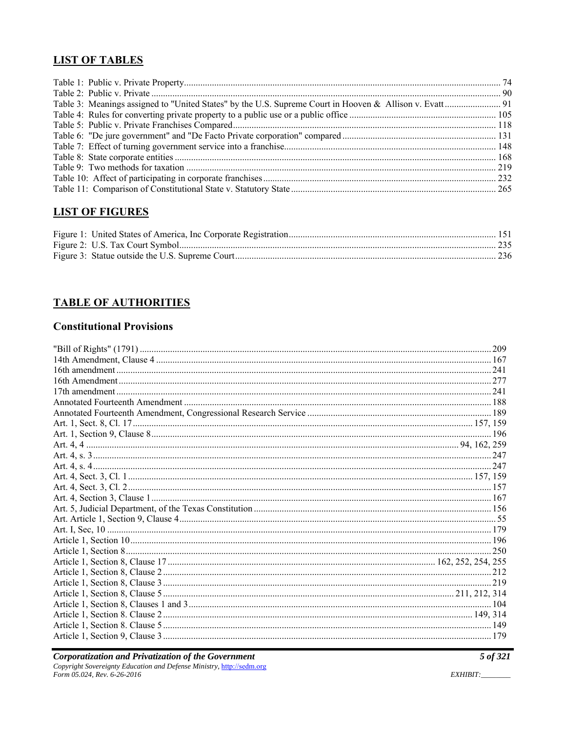#### **LIST OF TABLES**

| Table 3: Meanings assigned to "United States" by the U.S. Supreme Court in Hooven & Allison v. Evatt 91 |  |
|---------------------------------------------------------------------------------------------------------|--|
|                                                                                                         |  |
|                                                                                                         |  |
|                                                                                                         |  |
|                                                                                                         |  |
|                                                                                                         |  |
|                                                                                                         |  |
|                                                                                                         |  |
|                                                                                                         |  |

# **LIST OF FIGURES**

# **TABLE OF AUTHORITIES**

### **Constitutional Provisions**

**Corporatization and Privatization of the Government**<br>Copyright Sovereignty Education and Defense Ministry, http://sedm.org<br>Form 05.024, Rev. 6-26-2016

 $5$  of 321

EXHIBIT: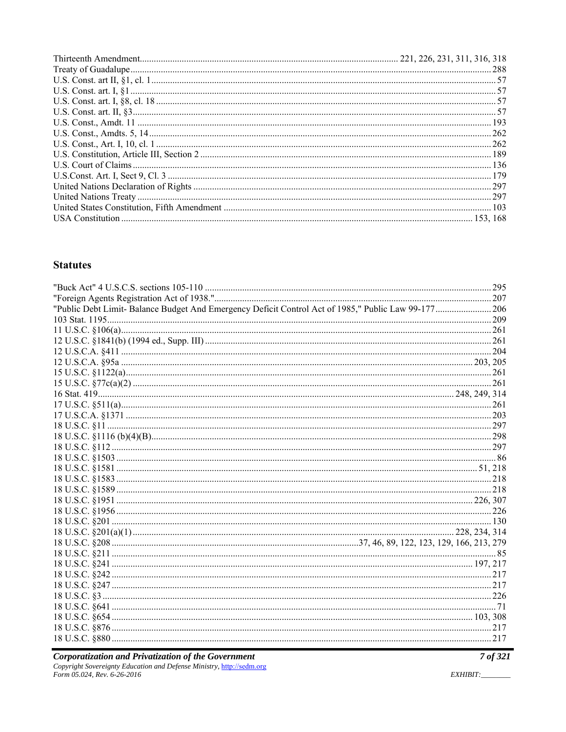#### **Statutes**

| "Public Debt Limit- Balance Budget And Emergency Deficit Control Act of 1985," Public Law 99-177 206 |  |
|------------------------------------------------------------------------------------------------------|--|
|                                                                                                      |  |
|                                                                                                      |  |
|                                                                                                      |  |
|                                                                                                      |  |
|                                                                                                      |  |
|                                                                                                      |  |
|                                                                                                      |  |
|                                                                                                      |  |
|                                                                                                      |  |
|                                                                                                      |  |
|                                                                                                      |  |
|                                                                                                      |  |
|                                                                                                      |  |
|                                                                                                      |  |
|                                                                                                      |  |
|                                                                                                      |  |
|                                                                                                      |  |
|                                                                                                      |  |
|                                                                                                      |  |
|                                                                                                      |  |
|                                                                                                      |  |
|                                                                                                      |  |
|                                                                                                      |  |
|                                                                                                      |  |
|                                                                                                      |  |
|                                                                                                      |  |
|                                                                                                      |  |
|                                                                                                      |  |
|                                                                                                      |  |
|                                                                                                      |  |
|                                                                                                      |  |

**Corporatization and Privatization of the Government**<br>Copyright Sovereignty Education and Defense Ministry, http://sedm.org<br>Form 05.024, Rev. 6-26-2016

7 of 321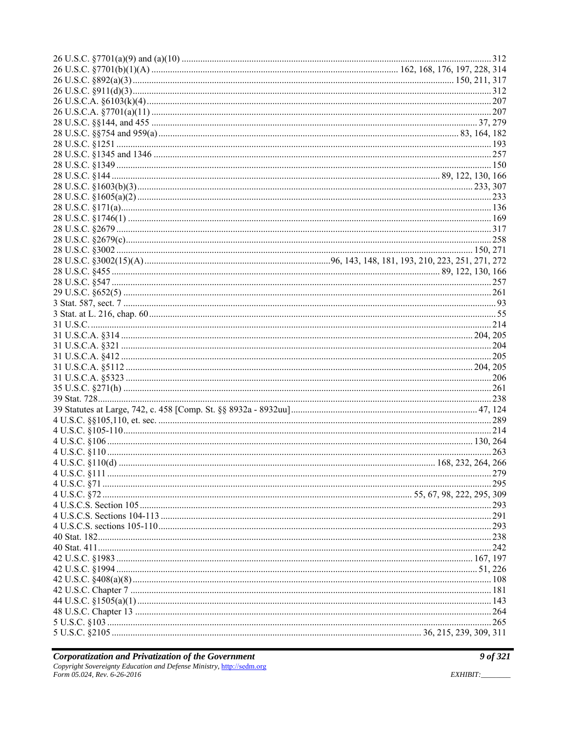**Corporatization and Privatization of the Government**<br>Copyright Sovereignty Education and Defense Ministry, http://sedm.org<br>Form 05.024, Rev. 6-26-2016

9 of 321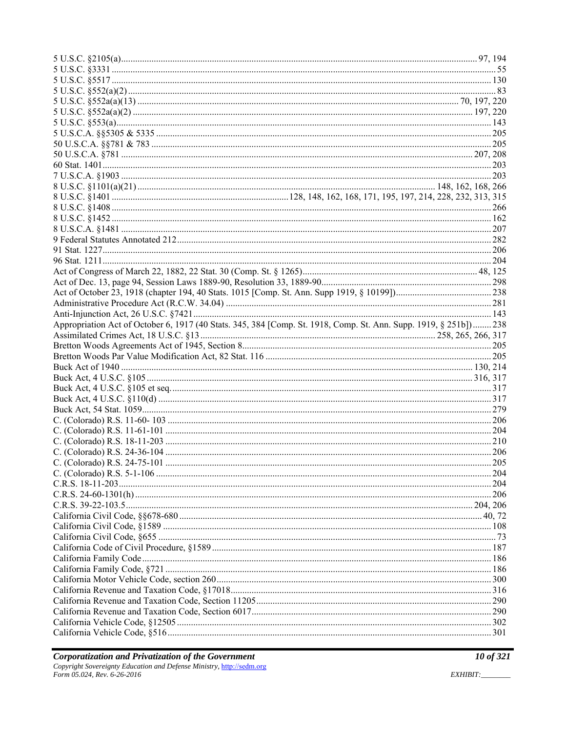| Appropriation Act of October 6, 1917 (40 Stats. 345, 384 [Comp. St. 1918, Comp. St. Ann. Supp. 1919, § 251b] 238 |  |
|------------------------------------------------------------------------------------------------------------------|--|
|                                                                                                                  |  |
|                                                                                                                  |  |
|                                                                                                                  |  |
|                                                                                                                  |  |
|                                                                                                                  |  |
|                                                                                                                  |  |
|                                                                                                                  |  |
|                                                                                                                  |  |
|                                                                                                                  |  |
|                                                                                                                  |  |
|                                                                                                                  |  |
|                                                                                                                  |  |
|                                                                                                                  |  |
|                                                                                                                  |  |
|                                                                                                                  |  |
|                                                                                                                  |  |
|                                                                                                                  |  |
|                                                                                                                  |  |
|                                                                                                                  |  |
|                                                                                                                  |  |
|                                                                                                                  |  |
|                                                                                                                  |  |
|                                                                                                                  |  |
|                                                                                                                  |  |
|                                                                                                                  |  |
|                                                                                                                  |  |
|                                                                                                                  |  |
|                                                                                                                  |  |
|                                                                                                                  |  |
|                                                                                                                  |  |
|                                                                                                                  |  |
|                                                                                                                  |  |
|                                                                                                                  |  |
|                                                                                                                  |  |
|                                                                                                                  |  |
|                                                                                                                  |  |
|                                                                                                                  |  |
|                                                                                                                  |  |
|                                                                                                                  |  |
|                                                                                                                  |  |
|                                                                                                                  |  |
|                                                                                                                  |  |
|                                                                                                                  |  |
|                                                                                                                  |  |
|                                                                                                                  |  |
|                                                                                                                  |  |
|                                                                                                                  |  |
|                                                                                                                  |  |
|                                                                                                                  |  |
|                                                                                                                  |  |
|                                                                                                                  |  |
|                                                                                                                  |  |
|                                                                                                                  |  |
|                                                                                                                  |  |
|                                                                                                                  |  |
|                                                                                                                  |  |
|                                                                                                                  |  |

EXHIBIT: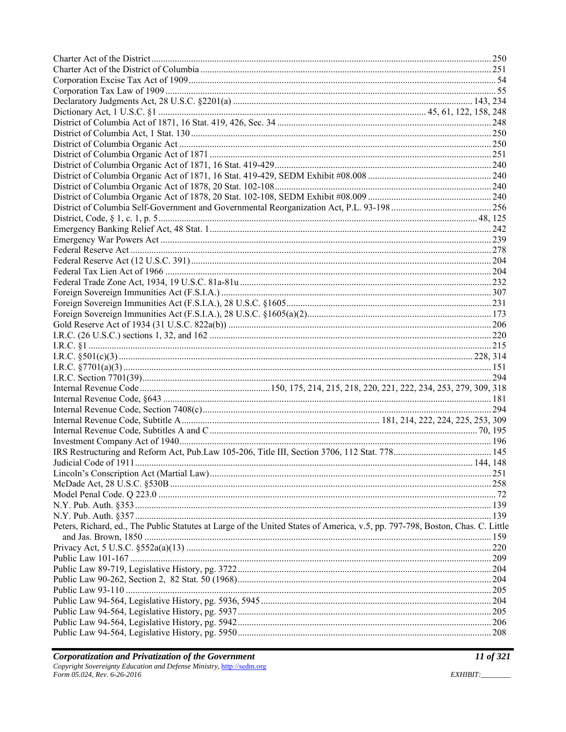| Peters, Richard, ed., The Public Statutes at Large of the United States of America, v.5, pp. 797-798, Boston, Chas. C. Little |  |
|-------------------------------------------------------------------------------------------------------------------------------|--|
|                                                                                                                               |  |
|                                                                                                                               |  |
|                                                                                                                               |  |
|                                                                                                                               |  |
|                                                                                                                               |  |
|                                                                                                                               |  |
|                                                                                                                               |  |
|                                                                                                                               |  |
|                                                                                                                               |  |

*I1 of 321*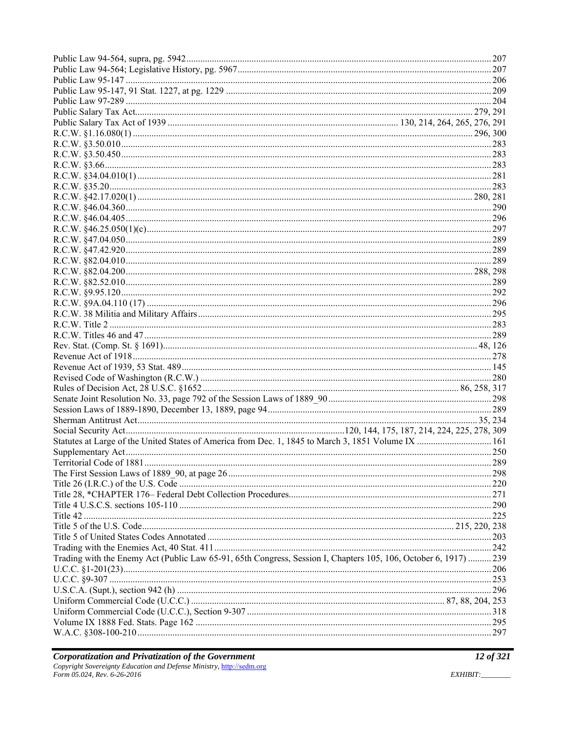| Statutes at Large of the United States of America from Dec. 1, 1845 to March 3, 1851 Volume IX  161              |  |
|------------------------------------------------------------------------------------------------------------------|--|
|                                                                                                                  |  |
|                                                                                                                  |  |
|                                                                                                                  |  |
|                                                                                                                  |  |
|                                                                                                                  |  |
|                                                                                                                  |  |
|                                                                                                                  |  |
|                                                                                                                  |  |
|                                                                                                                  |  |
|                                                                                                                  |  |
|                                                                                                                  |  |
| Trading with the Enemy Act (Public Law 65-91, 65th Congress, Session I, Chapters 105, 106, October 6, 1917)  239 |  |
|                                                                                                                  |  |
|                                                                                                                  |  |
|                                                                                                                  |  |
|                                                                                                                  |  |
|                                                                                                                  |  |
|                                                                                                                  |  |
|                                                                                                                  |  |
|                                                                                                                  |  |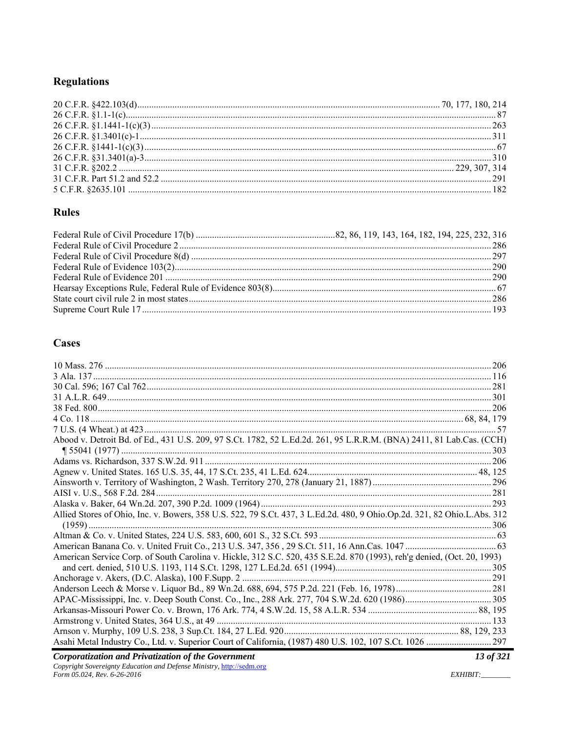# **Regulations**

### **Rules**

## **Cases**

| Abood v. Detroit Bd. of Ed., 431 U.S. 209, 97 S.Ct. 1782, 52 L.Ed.2d. 261, 95 L.R.R.M. (BNA) 2411, 81 Lab.Cas. (CCH)     |  |
|--------------------------------------------------------------------------------------------------------------------------|--|
|                                                                                                                          |  |
|                                                                                                                          |  |
|                                                                                                                          |  |
|                                                                                                                          |  |
|                                                                                                                          |  |
|                                                                                                                          |  |
| Allied Stores of Ohio, Inc. v. Bowers, 358 U.S. 522, 79 S.Ct. 437, 3 L.Ed.2d. 480, 9 Ohio.Op.2d. 321, 82 Ohio.L.Abs. 312 |  |
|                                                                                                                          |  |
|                                                                                                                          |  |
|                                                                                                                          |  |
| American Service Corp. of South Carolina v. Hickle, 312 S.C. 520, 435 S.E.2d. 870 (1993), reh'g denied, (Oct. 20, 1993)  |  |
|                                                                                                                          |  |
|                                                                                                                          |  |
|                                                                                                                          |  |
|                                                                                                                          |  |
|                                                                                                                          |  |
|                                                                                                                          |  |
|                                                                                                                          |  |
|                                                                                                                          |  |

**Corporatization and Privatization of the Government**<br>Copyright Sovereignty Education and Defense Ministry, http://sedm.org<br>Form 05.024, Rev. 6-26-2016

13 of 321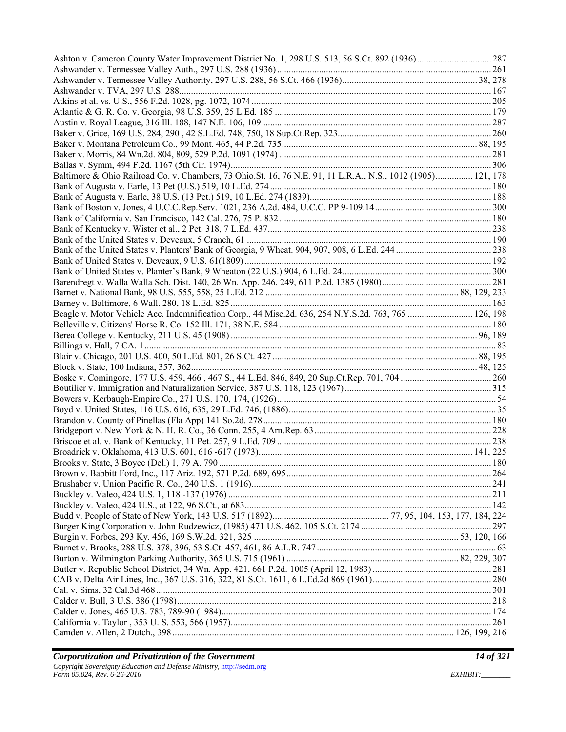| Baltimore & Ohio Railroad Co. v. Chambers, 73 Ohio.St. 16, 76 N.E. 91, 11 L.R.A., N.S., 1012 (1905) 121, 178 |  |
|--------------------------------------------------------------------------------------------------------------|--|
|                                                                                                              |  |
|                                                                                                              |  |
|                                                                                                              |  |
|                                                                                                              |  |
|                                                                                                              |  |
|                                                                                                              |  |
|                                                                                                              |  |
|                                                                                                              |  |
|                                                                                                              |  |
|                                                                                                              |  |
|                                                                                                              |  |
|                                                                                                              |  |
|                                                                                                              |  |
| Beagle v. Motor Vehicle Acc. Indemnification Corp., 44 Misc.2d. 636, 254 N.Y.S.2d. 763, 765  126, 198        |  |
|                                                                                                              |  |
|                                                                                                              |  |
|                                                                                                              |  |
|                                                                                                              |  |
|                                                                                                              |  |
|                                                                                                              |  |
|                                                                                                              |  |
|                                                                                                              |  |
|                                                                                                              |  |
|                                                                                                              |  |
|                                                                                                              |  |
|                                                                                                              |  |
|                                                                                                              |  |
|                                                                                                              |  |
|                                                                                                              |  |
|                                                                                                              |  |
|                                                                                                              |  |
|                                                                                                              |  |
|                                                                                                              |  |
|                                                                                                              |  |
|                                                                                                              |  |
|                                                                                                              |  |
|                                                                                                              |  |
|                                                                                                              |  |
|                                                                                                              |  |
|                                                                                                              |  |
|                                                                                                              |  |
|                                                                                                              |  |
|                                                                                                              |  |
|                                                                                                              |  |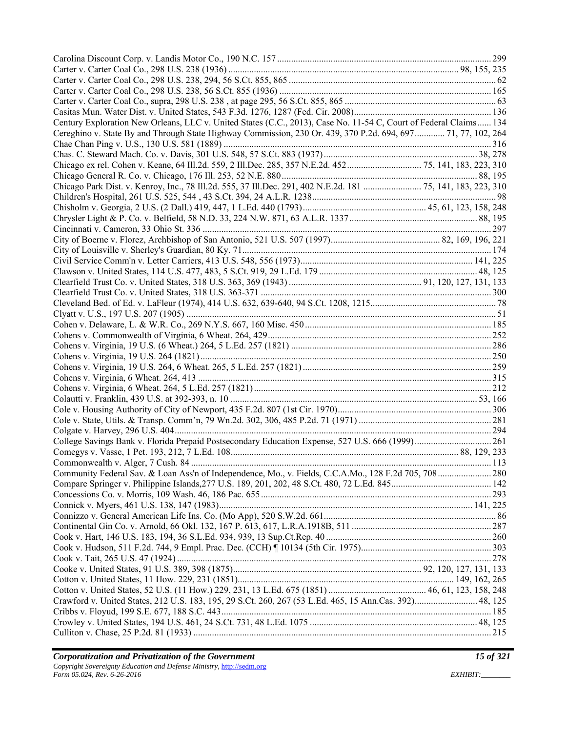| Century Exploration New Orleans, LLC v. United States (C.C., 2013), Case No. 11-54 C, Court of Federal Claims 134 |  |
|-------------------------------------------------------------------------------------------------------------------|--|
| Cereghino v. State By and Through State Highway Commission, 230 Or. 439, 370 P.2d. 694, 697 71, 77, 102, 264      |  |
|                                                                                                                   |  |
|                                                                                                                   |  |
| Chicago ex rel. Cohen v. Keane, 64 Ill.2d. 559, 2 Ill.Dec. 285, 357 N.E.2d. 452 75, 141, 183, 223, 310            |  |
|                                                                                                                   |  |
| Chicago Park Dist. v. Kenroy, Inc., 78 Ill.2d. 555, 37 Ill.Dec. 291, 402 N.E.2d. 181  75, 141, 183, 223, 310      |  |
|                                                                                                                   |  |
|                                                                                                                   |  |
|                                                                                                                   |  |
|                                                                                                                   |  |
|                                                                                                                   |  |
|                                                                                                                   |  |
|                                                                                                                   |  |
|                                                                                                                   |  |
|                                                                                                                   |  |
|                                                                                                                   |  |
|                                                                                                                   |  |
|                                                                                                                   |  |
|                                                                                                                   |  |
|                                                                                                                   |  |
|                                                                                                                   |  |
|                                                                                                                   |  |
|                                                                                                                   |  |
|                                                                                                                   |  |
|                                                                                                                   |  |
|                                                                                                                   |  |
|                                                                                                                   |  |
|                                                                                                                   |  |
|                                                                                                                   |  |
|                                                                                                                   |  |
|                                                                                                                   |  |
|                                                                                                                   |  |
|                                                                                                                   |  |
|                                                                                                                   |  |
|                                                                                                                   |  |
|                                                                                                                   |  |
|                                                                                                                   |  |
|                                                                                                                   |  |
|                                                                                                                   |  |
|                                                                                                                   |  |
|                                                                                                                   |  |
|                                                                                                                   |  |
|                                                                                                                   |  |
|                                                                                                                   |  |
| Crawford v. United States, 212 U.S. 183, 195, 29 S.Ct. 260, 267 (53 L.Ed. 465, 15 Ann.Cas. 392) 48, 125           |  |
|                                                                                                                   |  |
|                                                                                                                   |  |
|                                                                                                                   |  |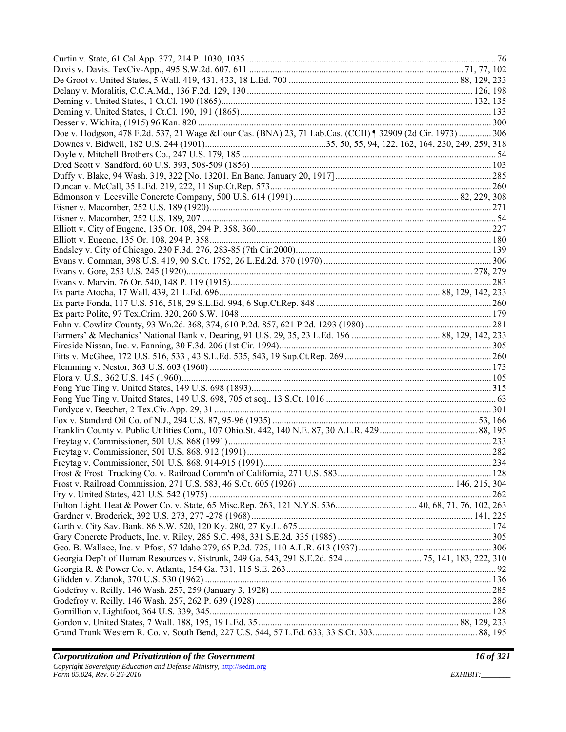| Doe v. Hodgson, 478 F.2d. 537, 21 Wage &Hour Cas. (BNA) 23, 71 Lab.Cas. (CCH) ¶ 32909 (2d Cir. 1973)  306 |  |
|-----------------------------------------------------------------------------------------------------------|--|
|                                                                                                           |  |
|                                                                                                           |  |
|                                                                                                           |  |
|                                                                                                           |  |
|                                                                                                           |  |
|                                                                                                           |  |
|                                                                                                           |  |
|                                                                                                           |  |
|                                                                                                           |  |
|                                                                                                           |  |
|                                                                                                           |  |
|                                                                                                           |  |
|                                                                                                           |  |
|                                                                                                           |  |
|                                                                                                           |  |
|                                                                                                           |  |
|                                                                                                           |  |
|                                                                                                           |  |
|                                                                                                           |  |
|                                                                                                           |  |
|                                                                                                           |  |
|                                                                                                           |  |
|                                                                                                           |  |
|                                                                                                           |  |
|                                                                                                           |  |
|                                                                                                           |  |
|                                                                                                           |  |
|                                                                                                           |  |
|                                                                                                           |  |
|                                                                                                           |  |
|                                                                                                           |  |
|                                                                                                           |  |
|                                                                                                           |  |
|                                                                                                           |  |
| Fulton Light, Heat & Power Co. v. State, 65 Misc.Rep. 263, 121 N.Y.S. 536 40, 68, 71, 76, 102, 263        |  |
|                                                                                                           |  |
|                                                                                                           |  |
|                                                                                                           |  |
|                                                                                                           |  |
|                                                                                                           |  |
|                                                                                                           |  |
|                                                                                                           |  |
|                                                                                                           |  |
|                                                                                                           |  |
|                                                                                                           |  |
|                                                                                                           |  |
|                                                                                                           |  |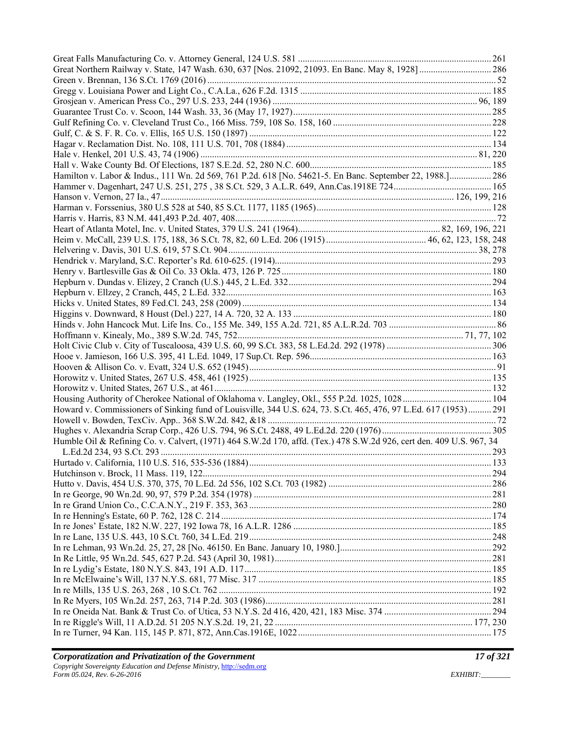| Hamilton v. Labor & Indus., 111 Wn. 2d 569, 761 P.2d. 618 [No. 54621-5. En Banc. September 22, 1988.] 286            |  |
|----------------------------------------------------------------------------------------------------------------------|--|
|                                                                                                                      |  |
|                                                                                                                      |  |
|                                                                                                                      |  |
|                                                                                                                      |  |
|                                                                                                                      |  |
|                                                                                                                      |  |
|                                                                                                                      |  |
|                                                                                                                      |  |
|                                                                                                                      |  |
|                                                                                                                      |  |
|                                                                                                                      |  |
|                                                                                                                      |  |
|                                                                                                                      |  |
|                                                                                                                      |  |
|                                                                                                                      |  |
|                                                                                                                      |  |
|                                                                                                                      |  |
|                                                                                                                      |  |
|                                                                                                                      |  |
|                                                                                                                      |  |
|                                                                                                                      |  |
| Howard v. Commissioners of Sinking fund of Louisville, 344 U.S. 624, 73. S.Ct. 465, 476, 97 L.Ed. 617 (1953) 291     |  |
|                                                                                                                      |  |
|                                                                                                                      |  |
| Humble Oil & Refining Co. v. Calvert, (1971) 464 S.W.2d 170, affd. (Tex.) 478 S.W.2d 926, cert den. 409 U.S. 967, 34 |  |
|                                                                                                                      |  |
|                                                                                                                      |  |
|                                                                                                                      |  |
|                                                                                                                      |  |
|                                                                                                                      |  |
|                                                                                                                      |  |
|                                                                                                                      |  |
|                                                                                                                      |  |
|                                                                                                                      |  |
|                                                                                                                      |  |
|                                                                                                                      |  |
|                                                                                                                      |  |
|                                                                                                                      |  |
|                                                                                                                      |  |
|                                                                                                                      |  |
|                                                                                                                      |  |
|                                                                                                                      |  |
|                                                                                                                      |  |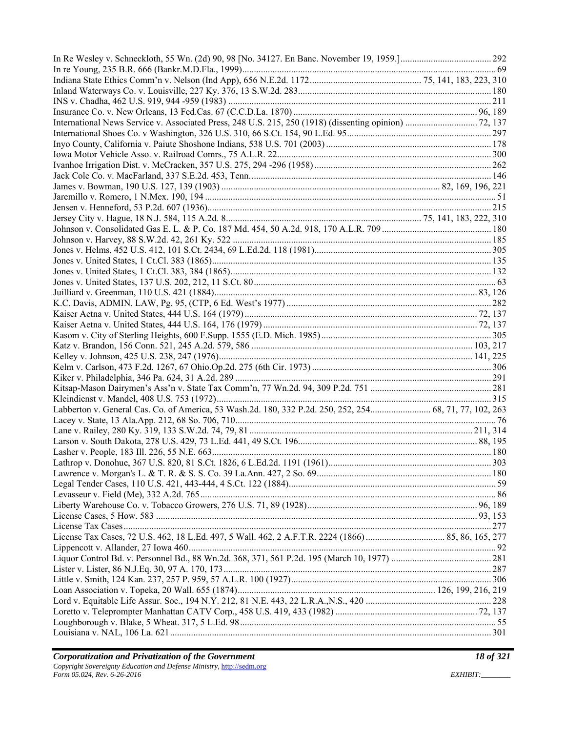| Labberton v. General Cas. Co. of America, 53 Wash.2d. 180, 332 P.2d. 250, 252, 254 68, 71, 77, 102, 263 |  |
|---------------------------------------------------------------------------------------------------------|--|
|                                                                                                         |  |
|                                                                                                         |  |
|                                                                                                         |  |
|                                                                                                         |  |
|                                                                                                         |  |
|                                                                                                         |  |
|                                                                                                         |  |
|                                                                                                         |  |
|                                                                                                         |  |
|                                                                                                         |  |
|                                                                                                         |  |
|                                                                                                         |  |
|                                                                                                         |  |
|                                                                                                         |  |
|                                                                                                         |  |
|                                                                                                         |  |
|                                                                                                         |  |
|                                                                                                         |  |
|                                                                                                         |  |
|                                                                                                         |  |
|                                                                                                         |  |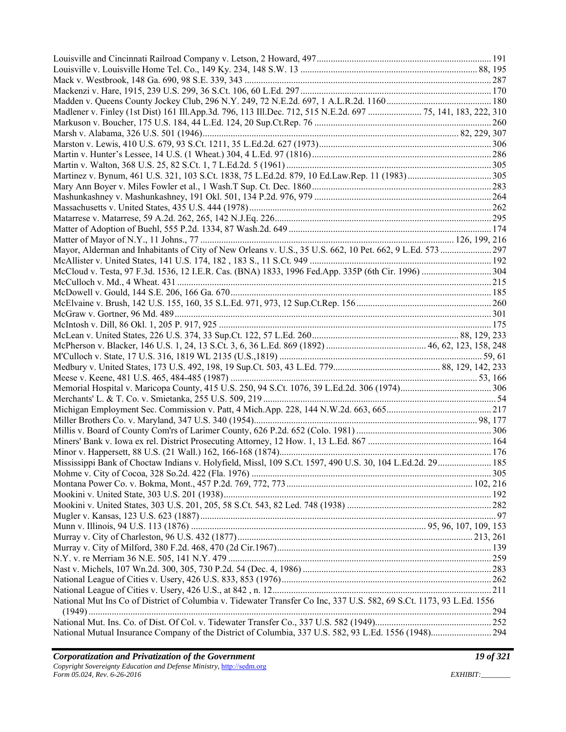| Mississippi Bank of Choctaw Indians v. Holyfield, Missl, 109 S.Ct. 1597, 490 U.S. 30, 104 L.Ed.2d. 29 185            |  |
|----------------------------------------------------------------------------------------------------------------------|--|
|                                                                                                                      |  |
|                                                                                                                      |  |
|                                                                                                                      |  |
|                                                                                                                      |  |
|                                                                                                                      |  |
|                                                                                                                      |  |
|                                                                                                                      |  |
|                                                                                                                      |  |
|                                                                                                                      |  |
|                                                                                                                      |  |
|                                                                                                                      |  |
| National Mut Ins Co of District of Columbia v. Tidewater Transfer Co Inc, 337 U.S. 582, 69 S.Ct. 1173, 93 L.Ed. 1556 |  |
|                                                                                                                      |  |
|                                                                                                                      |  |
|                                                                                                                      |  |
|                                                                                                                      |  |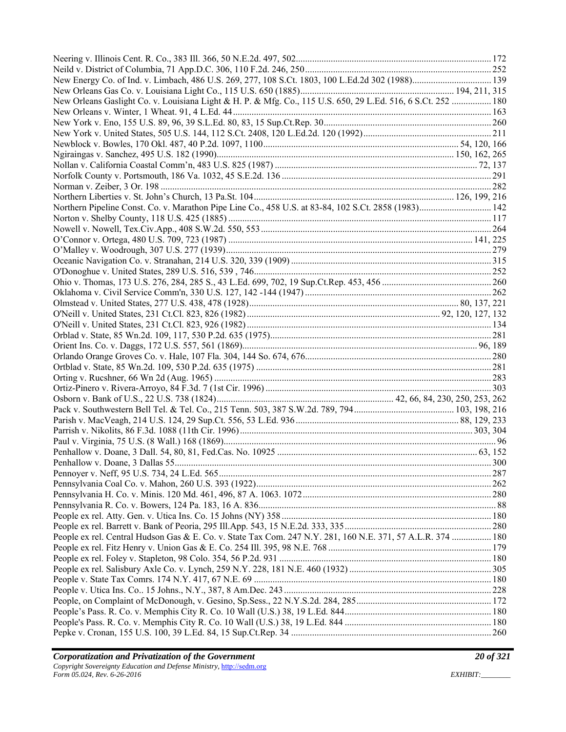| New Energy Co. of Ind. v. Limbach, 486 U.S. 269, 277, 108 S.Ct. 1803, 100 L.Ed.2d 302 (1988) 139             |  |
|--------------------------------------------------------------------------------------------------------------|--|
|                                                                                                              |  |
| New Orleans Gaslight Co. v. Louisiana Light & H. P. & Mfg. Co., 115 U.S. 650, 29 L.Ed. 516, 6 S.Ct. 252  180 |  |
|                                                                                                              |  |
|                                                                                                              |  |
|                                                                                                              |  |
|                                                                                                              |  |
|                                                                                                              |  |
|                                                                                                              |  |
|                                                                                                              |  |
|                                                                                                              |  |
|                                                                                                              |  |
| Northern Pipeline Const. Co. v. Marathon Pipe Line Co., 458 U.S. at 83-84, 102 S.Ct. 2858 (1983) 142         |  |
|                                                                                                              |  |
|                                                                                                              |  |
|                                                                                                              |  |
|                                                                                                              |  |
|                                                                                                              |  |
|                                                                                                              |  |
|                                                                                                              |  |
|                                                                                                              |  |
|                                                                                                              |  |
|                                                                                                              |  |
|                                                                                                              |  |
|                                                                                                              |  |
|                                                                                                              |  |
|                                                                                                              |  |
|                                                                                                              |  |
|                                                                                                              |  |
|                                                                                                              |  |
|                                                                                                              |  |
|                                                                                                              |  |
|                                                                                                              |  |
|                                                                                                              |  |
|                                                                                                              |  |
|                                                                                                              |  |
|                                                                                                              |  |
|                                                                                                              |  |
|                                                                                                              |  |
|                                                                                                              |  |
|                                                                                                              |  |
|                                                                                                              |  |
|                                                                                                              |  |
| People ex rel. Central Hudson Gas & E. Co. v. State Tax Com. 247 N.Y. 281, 160 N.E. 371, 57 A.L.R. 374  180  |  |
|                                                                                                              |  |
|                                                                                                              |  |
|                                                                                                              |  |
|                                                                                                              |  |
|                                                                                                              |  |
|                                                                                                              |  |
|                                                                                                              |  |
|                                                                                                              |  |
|                                                                                                              |  |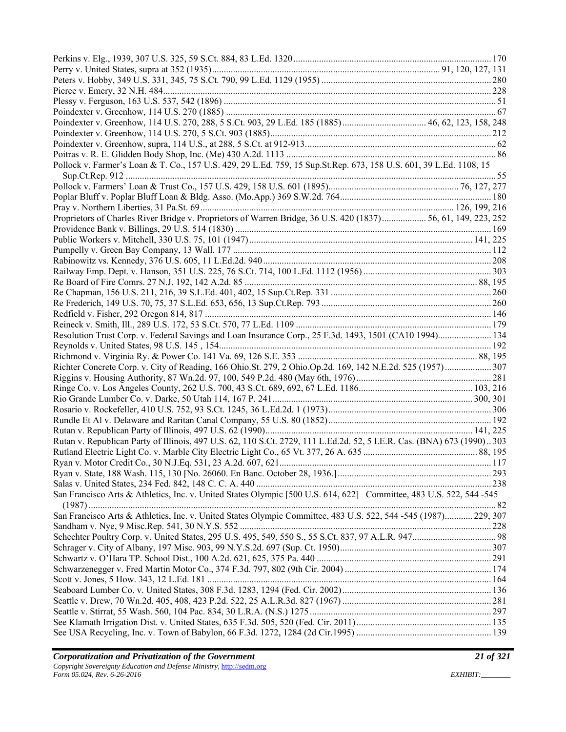| Pollock v. Farmer's Loan & T. Co., 157 U.S. 429, 29 L.Ed. 759, 15 Sup.St.Rep. 673, 158 U.S. 601, 39 L.Ed. 1108, 15     |  |
|------------------------------------------------------------------------------------------------------------------------|--|
|                                                                                                                        |  |
|                                                                                                                        |  |
|                                                                                                                        |  |
|                                                                                                                        |  |
| Proprietors of Charles River Bridge v. Proprietors of Warren Bridge, 36 U.S. 420 (1837) 56, 61, 149, 223, 252          |  |
|                                                                                                                        |  |
|                                                                                                                        |  |
|                                                                                                                        |  |
|                                                                                                                        |  |
|                                                                                                                        |  |
|                                                                                                                        |  |
|                                                                                                                        |  |
|                                                                                                                        |  |
|                                                                                                                        |  |
|                                                                                                                        |  |
| Resolution Trust Corp. v. Federal Savings and Loan Insurance Corp., 25 F.3d. 1493, 1501 (CA10 1994) 134                |  |
|                                                                                                                        |  |
|                                                                                                                        |  |
| Richter Concrete Corp. v. City of Reading, 166 Ohio.St. 279, 2 Ohio.Op.2d. 169, 142 N.E.2d. 525 (1957)  307            |  |
|                                                                                                                        |  |
|                                                                                                                        |  |
|                                                                                                                        |  |
|                                                                                                                        |  |
|                                                                                                                        |  |
|                                                                                                                        |  |
| Rutan v. Republican Party of Illinois, 497 U.S. 62, 110 S.Ct. 2729, 111 L.Ed.2d. 52, 5 I.E.R. Cas. (BNA) 673 (1990)303 |  |
|                                                                                                                        |  |
|                                                                                                                        |  |
|                                                                                                                        |  |
|                                                                                                                        |  |
| San Francisco Arts & Athletics, Inc. v. United States Olympic [500 U.S. 614, 622] Committee, 483 U.S. 522, 544-545     |  |
|                                                                                                                        |  |
| San Francisco Arts & Athletics, Inc. v. United States Olympic Committee, 483 U.S. 522, 544 -545 (1987) 229, 307        |  |
|                                                                                                                        |  |
|                                                                                                                        |  |
|                                                                                                                        |  |
|                                                                                                                        |  |
|                                                                                                                        |  |
|                                                                                                                        |  |
|                                                                                                                        |  |
|                                                                                                                        |  |
|                                                                                                                        |  |
|                                                                                                                        |  |
|                                                                                                                        |  |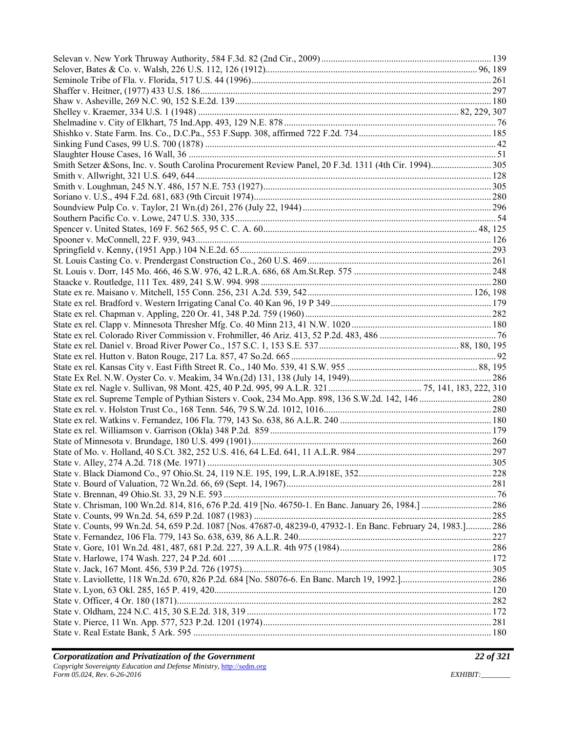| State v. Counts, 99 Wn.2d. 54, 659 P.2d. 1087 [Nos. 47687-0, 48239-0, 47932-1. En Banc. February 24, 1983.] 286 |  |
|-----------------------------------------------------------------------------------------------------------------|--|
|                                                                                                                 |  |
|                                                                                                                 |  |
|                                                                                                                 |  |
|                                                                                                                 |  |
|                                                                                                                 |  |
|                                                                                                                 |  |
|                                                                                                                 |  |
|                                                                                                                 |  |
|                                                                                                                 |  |
|                                                                                                                 |  |
|                                                                                                                 |  |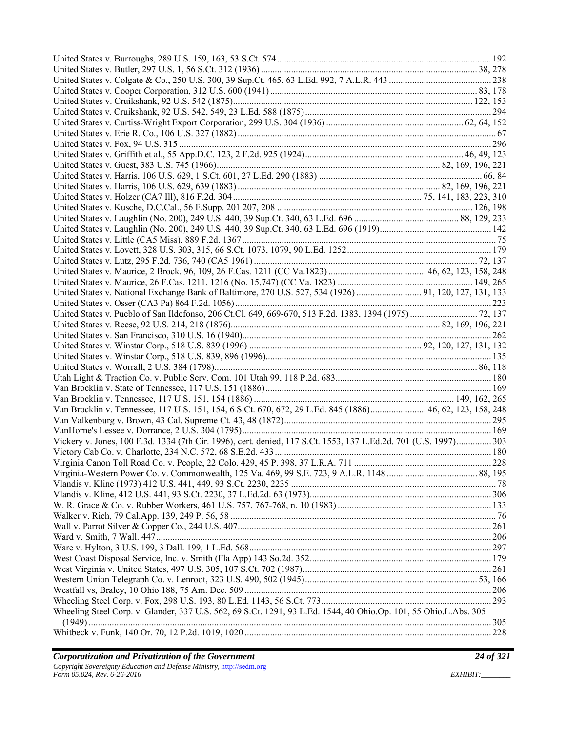| United States v. National Exchange Bank of Baltimore, 270 U.S. 527, 534 (1926)  91, 120, 127, 131, 133           |  |
|------------------------------------------------------------------------------------------------------------------|--|
|                                                                                                                  |  |
|                                                                                                                  |  |
|                                                                                                                  |  |
|                                                                                                                  |  |
|                                                                                                                  |  |
|                                                                                                                  |  |
|                                                                                                                  |  |
|                                                                                                                  |  |
|                                                                                                                  |  |
|                                                                                                                  |  |
| Van Brocklin v. Tennessee, 117 U.S. 151, 154, 6 S.Ct. 670, 672, 29 L.Ed. 845 (1886) 46, 62, 123, 158, 248        |  |
|                                                                                                                  |  |
|                                                                                                                  |  |
| Vickery v. Jones, 100 F.3d. 1334 (7th Cir. 1996), cert. denied, 117 S.Ct. 1553, 137 L.Ed.2d. 701 (U.S. 1997) 303 |  |
|                                                                                                                  |  |
|                                                                                                                  |  |
|                                                                                                                  |  |
|                                                                                                                  |  |
|                                                                                                                  |  |
|                                                                                                                  |  |
|                                                                                                                  |  |
|                                                                                                                  |  |
|                                                                                                                  |  |
|                                                                                                                  |  |
|                                                                                                                  |  |
|                                                                                                                  |  |
|                                                                                                                  |  |
|                                                                                                                  |  |
| Wheeling Steel Corp. v. Glander, 337 U.S. 562, 69 S.Ct. 1291, 93 L.Ed. 1544, 40 Ohio.Op. 101, 55 Ohio.L.Abs. 305 |  |
|                                                                                                                  |  |
|                                                                                                                  |  |
|                                                                                                                  |  |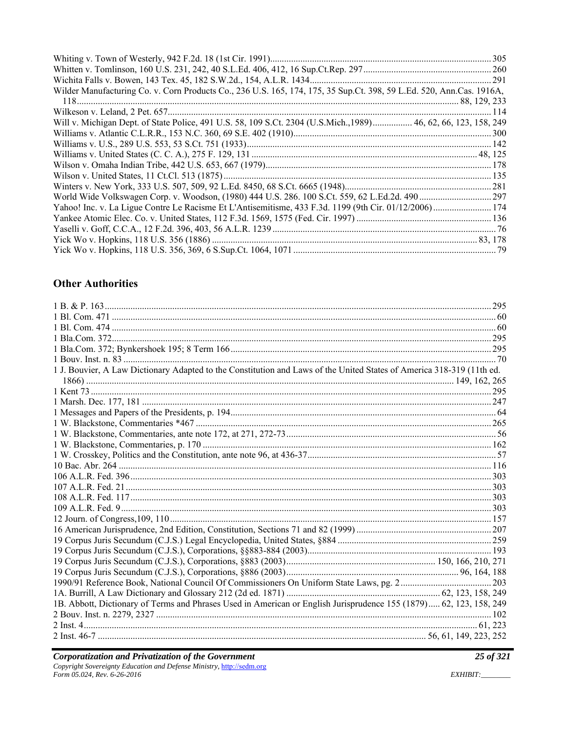| Wilder Manufacturing Co. v. Corn Products Co., 236 U.S. 165, 174, 175, 35 Sup.Ct. 398, 59 L.Ed. 520, Ann.Cas. 1916A, |  |
|----------------------------------------------------------------------------------------------------------------------|--|
|                                                                                                                      |  |
|                                                                                                                      |  |
| Will v. Michigan Dept. of State Police, 491 U.S. 58, 109 S.Ct. 2304 (U.S.Mich., 1989) 46, 62, 66, 123, 158, 249      |  |
|                                                                                                                      |  |
|                                                                                                                      |  |
|                                                                                                                      |  |
|                                                                                                                      |  |
|                                                                                                                      |  |
|                                                                                                                      |  |
|                                                                                                                      |  |
| Yahoo! Inc. v. La Ligue Contre Le Racisme Et L'Antisemitisme, 433 F.3d. 1199 (9th Cir. 01/12/2006) 174               |  |
|                                                                                                                      |  |
|                                                                                                                      |  |
|                                                                                                                      |  |
|                                                                                                                      |  |

# **Other Authorities**

| 1 J. Bouvier, A Law Dictionary Adapted to the Constitution and Laws of the United States of America 318-319 (11th ed. |  |
|-----------------------------------------------------------------------------------------------------------------------|--|
|                                                                                                                       |  |
|                                                                                                                       |  |
|                                                                                                                       |  |
|                                                                                                                       |  |
|                                                                                                                       |  |
|                                                                                                                       |  |
|                                                                                                                       |  |
|                                                                                                                       |  |
|                                                                                                                       |  |
|                                                                                                                       |  |
|                                                                                                                       |  |
|                                                                                                                       |  |
|                                                                                                                       |  |
|                                                                                                                       |  |
|                                                                                                                       |  |
|                                                                                                                       |  |
|                                                                                                                       |  |
|                                                                                                                       |  |
|                                                                                                                       |  |
|                                                                                                                       |  |
|                                                                                                                       |  |
| 1B. Abbott, Dictionary of Terms and Phrases Used in American or English Jurisprudence 155 (1879) 62, 123, 158, 249    |  |
|                                                                                                                       |  |
|                                                                                                                       |  |
|                                                                                                                       |  |

25 of 321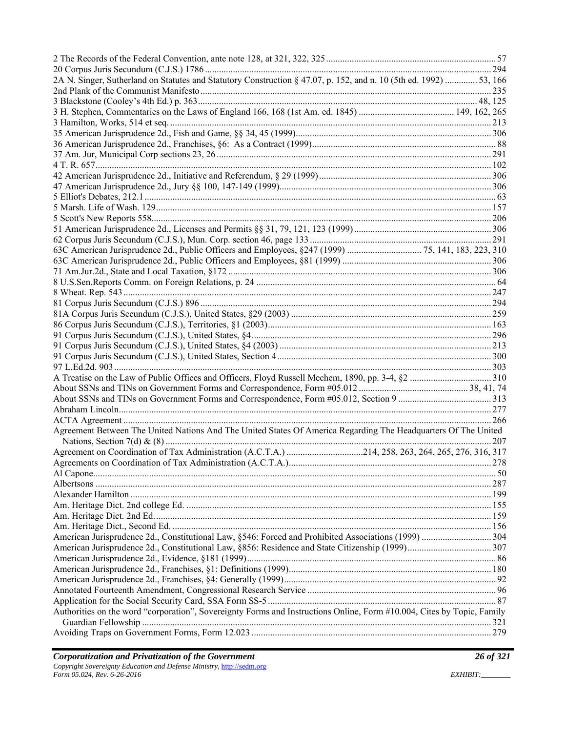| 2A N. Singer, Sutherland on Statutes and Statutory Construction § 47.07, p. 152, and n. 10 (5th ed. 1992)  53, 166     |  |
|------------------------------------------------------------------------------------------------------------------------|--|
|                                                                                                                        |  |
|                                                                                                                        |  |
|                                                                                                                        |  |
|                                                                                                                        |  |
|                                                                                                                        |  |
|                                                                                                                        |  |
|                                                                                                                        |  |
|                                                                                                                        |  |
|                                                                                                                        |  |
|                                                                                                                        |  |
|                                                                                                                        |  |
|                                                                                                                        |  |
|                                                                                                                        |  |
|                                                                                                                        |  |
|                                                                                                                        |  |
|                                                                                                                        |  |
|                                                                                                                        |  |
|                                                                                                                        |  |
|                                                                                                                        |  |
|                                                                                                                        |  |
|                                                                                                                        |  |
|                                                                                                                        |  |
|                                                                                                                        |  |
|                                                                                                                        |  |
|                                                                                                                        |  |
|                                                                                                                        |  |
|                                                                                                                        |  |
|                                                                                                                        |  |
|                                                                                                                        |  |
|                                                                                                                        |  |
|                                                                                                                        |  |
|                                                                                                                        |  |
| Agreement Between The United Nations And The United States Of America Regarding The Headquarters Of The United         |  |
|                                                                                                                        |  |
|                                                                                                                        |  |
|                                                                                                                        |  |
|                                                                                                                        |  |
|                                                                                                                        |  |
|                                                                                                                        |  |
|                                                                                                                        |  |
|                                                                                                                        |  |
|                                                                                                                        |  |
|                                                                                                                        |  |
|                                                                                                                        |  |
|                                                                                                                        |  |
|                                                                                                                        |  |
|                                                                                                                        |  |
|                                                                                                                        |  |
|                                                                                                                        |  |
| Authorities on the word "corporation", Sovereignty Forms and Instructions Online, Form #10.004, Cites by Topic, Family |  |
|                                                                                                                        |  |
|                                                                                                                        |  |
|                                                                                                                        |  |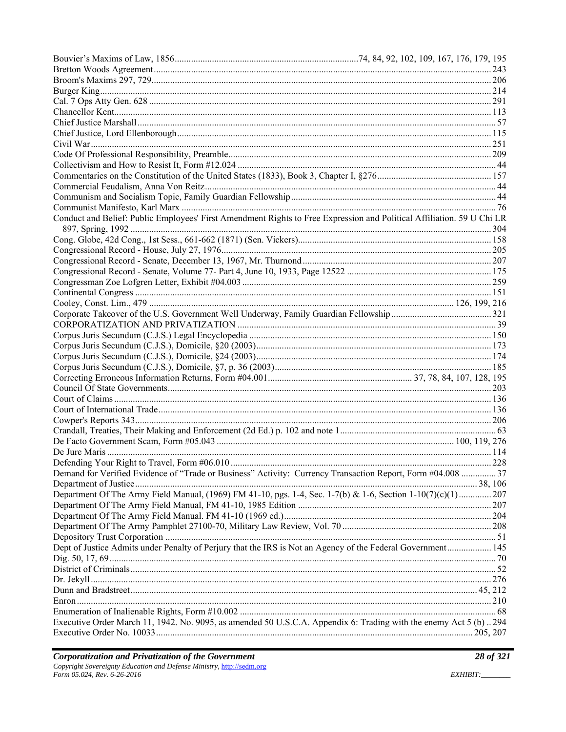| Conduct and Belief: Public Employees' First Amendment Rights to Free Expression and Political Affiliation. 59 U Chi LR |  |
|------------------------------------------------------------------------------------------------------------------------|--|
|                                                                                                                        |  |
|                                                                                                                        |  |
|                                                                                                                        |  |
|                                                                                                                        |  |
|                                                                                                                        |  |
|                                                                                                                        |  |
|                                                                                                                        |  |
|                                                                                                                        |  |
|                                                                                                                        |  |
|                                                                                                                        |  |
|                                                                                                                        |  |
|                                                                                                                        |  |
|                                                                                                                        |  |
|                                                                                                                        |  |
|                                                                                                                        |  |
|                                                                                                                        |  |
|                                                                                                                        |  |
|                                                                                                                        |  |
|                                                                                                                        |  |
|                                                                                                                        |  |
|                                                                                                                        |  |
|                                                                                                                        |  |
|                                                                                                                        |  |
| Demand for Verified Evidence of "Trade or Business" Activity: Currency Transaction Report, Form #04.008  37            |  |
|                                                                                                                        |  |
| Department Of The Army Field Manual, (1969) FM 41-10, pgs. 1-4, Sec. 1-7(b) & 1-6, Section 1-10(7)(c)(1) 207           |  |
|                                                                                                                        |  |
|                                                                                                                        |  |
|                                                                                                                        |  |
|                                                                                                                        |  |
| Dept of Justice Admits under Penalty of Perjury that the IRS is Not an Agency of the Federal Government 145            |  |
|                                                                                                                        |  |
|                                                                                                                        |  |
|                                                                                                                        |  |
|                                                                                                                        |  |
|                                                                                                                        |  |
|                                                                                                                        |  |
| Executive Order March 11, 1942. No. 9095, as amended 50 U.S.C.A. Appendix 6: Trading with the enemy Act 5 (b) 294      |  |
|                                                                                                                        |  |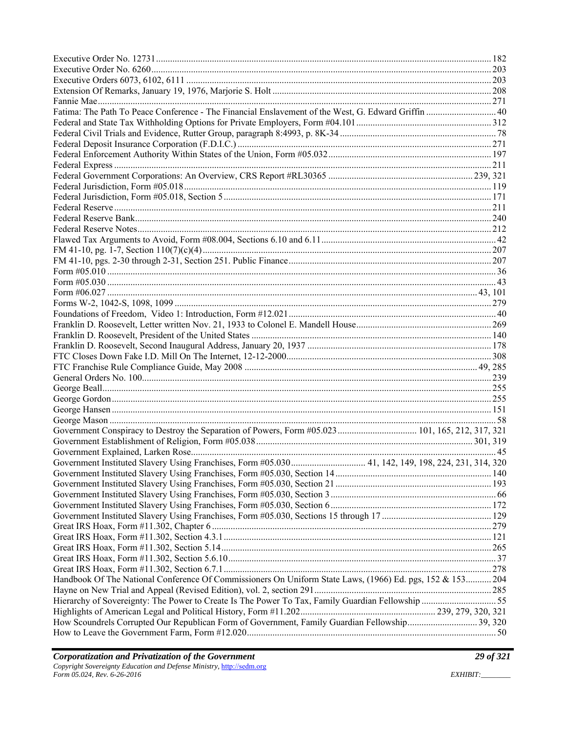| Fatima: The Path To Peace Conference - The Financial Enslavement of the West, G. Edward Griffin  40       |  |
|-----------------------------------------------------------------------------------------------------------|--|
|                                                                                                           |  |
|                                                                                                           |  |
|                                                                                                           |  |
|                                                                                                           |  |
|                                                                                                           |  |
|                                                                                                           |  |
|                                                                                                           |  |
|                                                                                                           |  |
|                                                                                                           |  |
|                                                                                                           |  |
|                                                                                                           |  |
|                                                                                                           |  |
|                                                                                                           |  |
|                                                                                                           |  |
|                                                                                                           |  |
|                                                                                                           |  |
|                                                                                                           |  |
|                                                                                                           |  |
|                                                                                                           |  |
|                                                                                                           |  |
|                                                                                                           |  |
|                                                                                                           |  |
|                                                                                                           |  |
|                                                                                                           |  |
|                                                                                                           |  |
|                                                                                                           |  |
|                                                                                                           |  |
|                                                                                                           |  |
|                                                                                                           |  |
|                                                                                                           |  |
|                                                                                                           |  |
|                                                                                                           |  |
| Government Instituted Slavery Using Franchises, Form #05.030 41, 142, 149, 198, 224, 231, 314, 320        |  |
|                                                                                                           |  |
|                                                                                                           |  |
|                                                                                                           |  |
|                                                                                                           |  |
|                                                                                                           |  |
|                                                                                                           |  |
|                                                                                                           |  |
|                                                                                                           |  |
|                                                                                                           |  |
|                                                                                                           |  |
| Handbook Of The National Conference Of Commissioners On Uniform State Laws, (1966) Ed. pgs, 152 & 153 204 |  |
|                                                                                                           |  |
| Hierarchy of Sovereignty: The Power to Create Is The Power To Tax, Family Guardian Fellowship 55          |  |
|                                                                                                           |  |
|                                                                                                           |  |
| How Scoundrels Corrupted Our Republican Form of Government, Family Guardian Fellowship 39, 320            |  |
|                                                                                                           |  |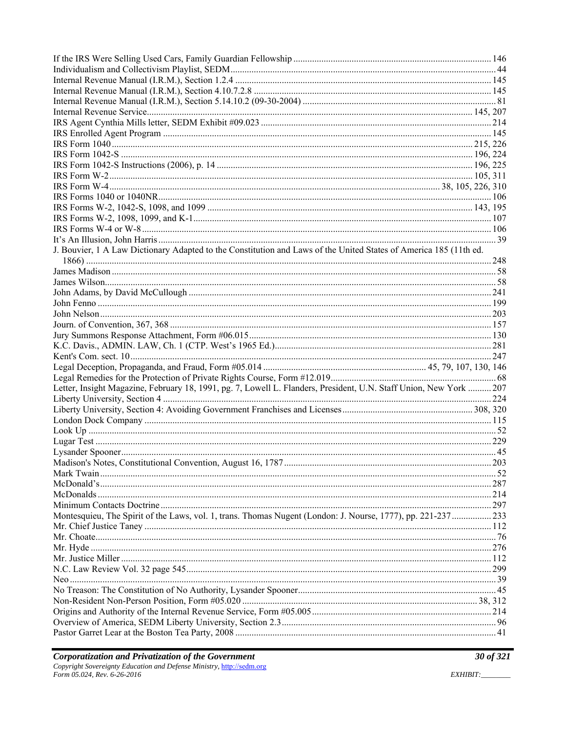| J. Bouvier, 1 A Law Dictionary Adapted to the Constitution and Laws of the United States of America 185 (11th ed.  |  |
|--------------------------------------------------------------------------------------------------------------------|--|
|                                                                                                                    |  |
|                                                                                                                    |  |
|                                                                                                                    |  |
|                                                                                                                    |  |
|                                                                                                                    |  |
|                                                                                                                    |  |
|                                                                                                                    |  |
|                                                                                                                    |  |
|                                                                                                                    |  |
|                                                                                                                    |  |
|                                                                                                                    |  |
|                                                                                                                    |  |
| Letter, Insight Magazine, February 18, 1991, pg. 7, Lowell L. Flanders, President, U.N. Staff Union, New York  207 |  |
|                                                                                                                    |  |
|                                                                                                                    |  |
|                                                                                                                    |  |
|                                                                                                                    |  |
|                                                                                                                    |  |
|                                                                                                                    |  |
|                                                                                                                    |  |
|                                                                                                                    |  |
|                                                                                                                    |  |
|                                                                                                                    |  |
|                                                                                                                    |  |
| Montesquieu, The Spirit of the Laws, vol. 1, trans. Thomas Nugent (London: J. Nourse, 1777), pp. 221-237233        |  |
|                                                                                                                    |  |
|                                                                                                                    |  |
|                                                                                                                    |  |
|                                                                                                                    |  |
|                                                                                                                    |  |
|                                                                                                                    |  |
|                                                                                                                    |  |
|                                                                                                                    |  |
|                                                                                                                    |  |
|                                                                                                                    |  |
|                                                                                                                    |  |

EXHIBIT: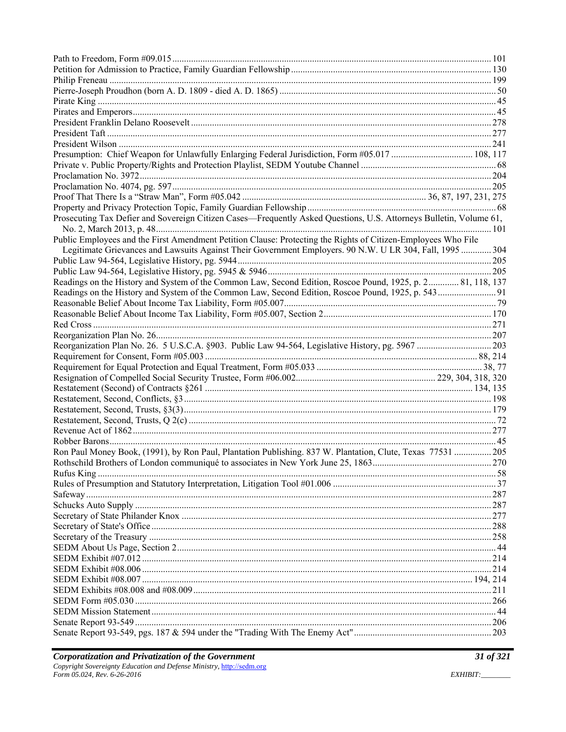| Prosecuting Tax Defier and Sovereign Citizen Cases—Frequently Asked Questions, U.S. Attorneys Bulletin, Volume 61, |     |
|--------------------------------------------------------------------------------------------------------------------|-----|
|                                                                                                                    |     |
| Public Employees and the First Amendment Petition Clause: Protecting the Rights of Citizen-Employees Who File      |     |
| Legitimate Grievances and Lawsuits Against Their Government Employers. 90 N.W. U LR 304, Fall, 1995  304           |     |
|                                                                                                                    |     |
|                                                                                                                    |     |
| Readings on the History and System of the Common Law, Second Edition, Roscoe Pound, 1925, p. 2 81, 118, 137        |     |
|                                                                                                                    |     |
|                                                                                                                    |     |
|                                                                                                                    |     |
|                                                                                                                    |     |
|                                                                                                                    |     |
|                                                                                                                    |     |
|                                                                                                                    |     |
|                                                                                                                    |     |
|                                                                                                                    |     |
|                                                                                                                    |     |
|                                                                                                                    |     |
|                                                                                                                    |     |
|                                                                                                                    |     |
|                                                                                                                    |     |
|                                                                                                                    |     |
|                                                                                                                    |     |
| Ron Paul Money Book, (1991), by Ron Paul, Plantation Publishing. 837 W. Plantation, Clute, Texas 77531  205        |     |
|                                                                                                                    |     |
|                                                                                                                    |     |
|                                                                                                                    |     |
|                                                                                                                    |     |
|                                                                                                                    |     |
|                                                                                                                    |     |
|                                                                                                                    |     |
|                                                                                                                    |     |
|                                                                                                                    |     |
|                                                                                                                    |     |
|                                                                                                                    |     |
|                                                                                                                    |     |
|                                                                                                                    | 211 |
|                                                                                                                    |     |
|                                                                                                                    |     |
|                                                                                                                    |     |
|                                                                                                                    |     |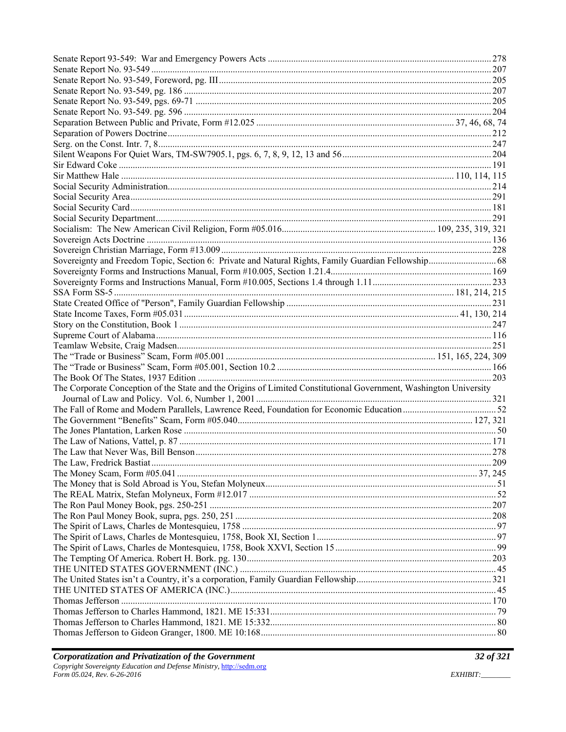| Sovereignty and Freedom Topic, Section 6: Private and Natural Rights, Family Guardian Fellowship 68               |  |
|-------------------------------------------------------------------------------------------------------------------|--|
|                                                                                                                   |  |
|                                                                                                                   |  |
|                                                                                                                   |  |
|                                                                                                                   |  |
|                                                                                                                   |  |
|                                                                                                                   |  |
|                                                                                                                   |  |
|                                                                                                                   |  |
|                                                                                                                   |  |
|                                                                                                                   |  |
|                                                                                                                   |  |
|                                                                                                                   |  |
| The Corporate Conception of the State and the Origins of Limited Constitutional Government, Washington University |  |
|                                                                                                                   |  |
|                                                                                                                   |  |
|                                                                                                                   |  |
|                                                                                                                   |  |
|                                                                                                                   |  |
|                                                                                                                   |  |
|                                                                                                                   |  |
|                                                                                                                   |  |
|                                                                                                                   |  |
|                                                                                                                   |  |
|                                                                                                                   |  |
|                                                                                                                   |  |
|                                                                                                                   |  |
|                                                                                                                   |  |
|                                                                                                                   |  |
|                                                                                                                   |  |
|                                                                                                                   |  |
|                                                                                                                   |  |
|                                                                                                                   |  |
|                                                                                                                   |  |
|                                                                                                                   |  |
|                                                                                                                   |  |

EXHIBIT: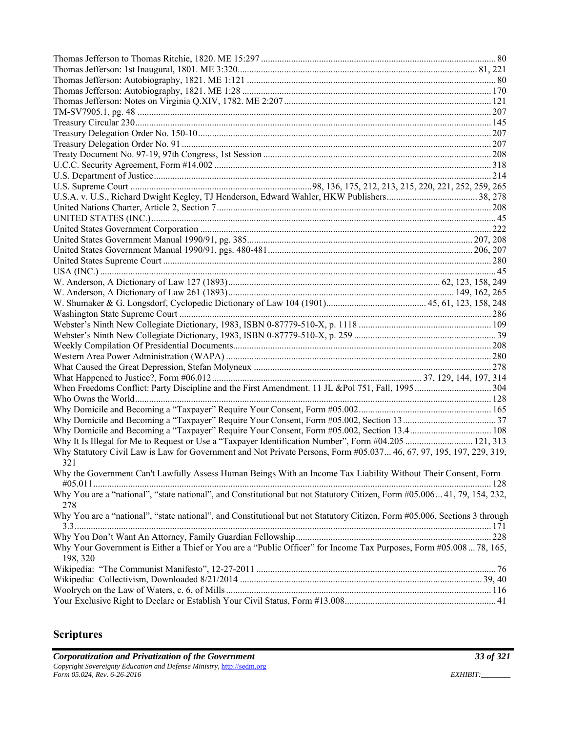| Why Domicile and Becoming a "Taxpayer" Require Your Consent, Form #05.002, Section 13.4 108                                     |  |
|---------------------------------------------------------------------------------------------------------------------------------|--|
| Why It Is Illegal for Me to Request or Use a "Taxpayer Identification Number", Form #04.205  121, 313                           |  |
| Why Statutory Civil Law is Law for Government and Not Private Persons, Form #05.037 46, 67, 97, 195, 197, 229, 319,             |  |
| 321                                                                                                                             |  |
| Why the Government Can't Lawfully Assess Human Beings With an Income Tax Liability Without Their Consent, Form                  |  |
| Why You are a "national", "state national", and Constitutional but not Statutory Citizen, Form #05.006 41, 79, 154, 232,        |  |
| 278                                                                                                                             |  |
| Why You are a "national", "state national", and Constitutional but not Statutory Citizen, Form #05.006, Sections 3 through      |  |
|                                                                                                                                 |  |
|                                                                                                                                 |  |
| Why Your Government is Either a Thief or You are a "Public Officer" for Income Tax Purposes, Form #05.008  78, 165,<br>198, 320 |  |
|                                                                                                                                 |  |
|                                                                                                                                 |  |
|                                                                                                                                 |  |
|                                                                                                                                 |  |

# **Scriptures**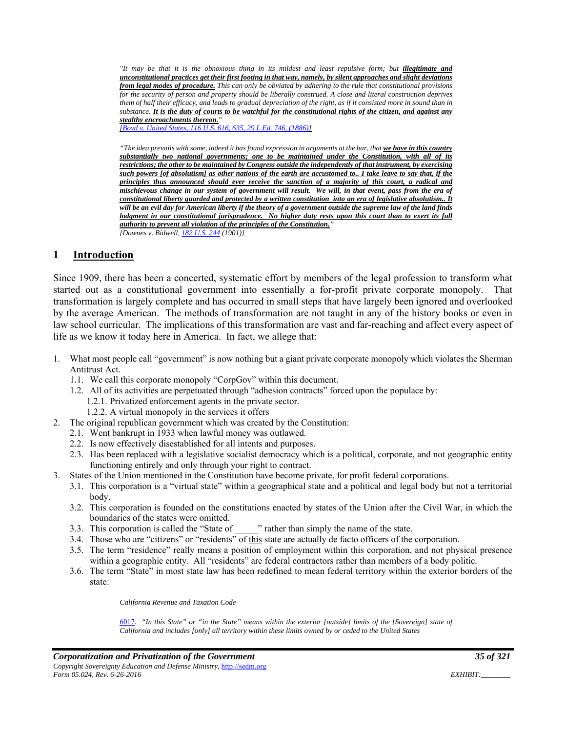*"It may be that it is the obnoxious thing in its mildest and least repulsive form; but illegitimate and unconstitutional practices get their first footing in that way, namely, by silent approaches and slight deviations from legal modes of procedure. This can only be obviated by adhering to the rule that constitutional provisions for the security of person and property should be liberally construed. A close and literal construction deprives them of half their efficacy, and leads to gradual depreciation of the right, as if it consisted more in sound than in substance. It is the duty of courts to be watchful for the constitutional rights of the citizen, and against any stealthy encroachments thereon."* 

*[Boyd v. United States, 116 U.S. 616, 635, 29 L.Ed. 746, (1886)]* 

*"The idea prevails with some, indeed it has found expression in arguments at the bar, that we have in this country substantially two national governments; one to be maintained under the Constitution, with all of its restrictions; the other to be maintained by Congress outside the independently of that instrument, by exercising such powers [of absolutism] as other nations of the earth are accustomed to.. I take leave to say that, if the principles thus announced should ever receive the sanction of a majority of this court, a radical and mischievous change in our system of government will result. We will, in that event, pass from the era of constitutional liberty guarded and protected by a written constitution into an era of legislative absolutism.. It will be an evil day for American liberty if the theory of a government outside the supreme law of the land finds lodgment in our constitutional jurisprudence. No higher duty rests upon this court than to exert its full authority to prevent all violation of the principles of the Constitution." [Downes v. Bidwell, 182 U.S. 244 (1901)]* 

#### **1 Introduction**

Since 1909, there has been a concerted, systematic effort by members of the legal profession to transform what started out as a constitutional government into essentially a for-profit private corporate monopoly. That transformation is largely complete and has occurred in small steps that have largely been ignored and overlooked by the average American. The methods of transformation are not taught in any of the history books or even in law school curricular. The implications of this transformation are vast and far-reaching and affect every aspect of life as we know it today here in America. In fact, we allege that:

- 1. What most people call "government" is now nothing but a giant private corporate monopoly which violates the Sherman Antitrust Act.
	- 1.1. We call this corporate monopoly "CorpGov" within this document.
	- 1.2. All of its activities are perpetuated through "adhesion contracts" forced upon the populace by:
		- 1.2.1. Privatized enforcement agents in the private sector.
		- 1.2.2. A virtual monopoly in the services it offers
- 2. The original republican government which was created by the Constitution:
	- 2.1. Went bankrupt in 1933 when lawful money was outlawed.
	- 2.2. Is now effectively disestablished for all intents and purposes.
	- 2.3. Has been replaced with a legislative socialist democracy which is a political, corporate, and not geographic entity functioning entirely and only through your right to contract.
- 3. States of the Union mentioned in the Constitution have become private, for profit federal corporations.
	- 3.1. This corporation is a "virtual state" within a geographical state and a political and legal body but not a territorial body.
	- 3.2. This corporation is founded on the constitutions enacted by states of the Union after the Civil War, in which the boundaries of the states were omitted.
	- 3.3. This corporation is called the "State of  $\blacksquare$ " rather than simply the name of the state.
	- 3.4. Those who are "citizens" or "residents" of this state are actually de facto officers of the corporation.
	- 3.5. The term "residence" really means a position of employment within this corporation, and not physical presence within a geographic entity. All "residents" are federal contractors rather than members of a body politic.
	- 3.6. The term "State" in most state law has been redefined to mean federal territory within the exterior borders of the state:

*California Revenue and Taxation Code* 

6017*. "In this State" or "in the State" means within the exterior [outside] limits of the [Sovereign] state of California and includes [only] all territory within these limits owned by or ceded to the United States*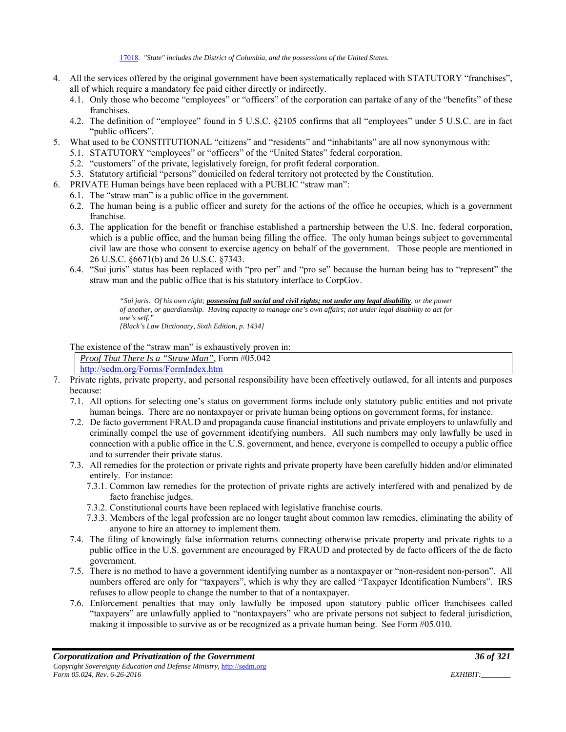- 4. All the services offered by the original government have been systematically replaced with STATUTORY "franchises", all of which require a mandatory fee paid either directly or indirectly.
	- 4.1. Only those who become "employees" or "officers" of the corporation can partake of any of the "benefits" of these franchises.
	- 4.2. The definition of "employee" found in 5 U.S.C. §2105 confirms that all "employees" under 5 U.S.C. are in fact "public officers".
- 5. What used to be CONSTITUTIONAL "citizens" and "residents" and "inhabitants" are all now synonymous with:
	- 5.1. STATUTORY "employees" or "officers" of the "United States" federal corporation.
	- 5.2. "customers" of the private, legislatively foreign, for profit federal corporation.
	- 5.3. Statutory artificial "persons" domiciled on federal territory not protected by the Constitution.
- 6. PRIVATE Human beings have been replaced with a PUBLIC "straw man":
	- 6.1. The "straw man" is a public office in the government.
	- 6.2. The human being is a public officer and surety for the actions of the office he occupies, which is a government franchise.
	- 6.3. The application for the benefit or franchise established a partnership between the U.S. Inc. federal corporation, which is a public office, and the human being filling the office. The only human beings subject to governmental civil law are those who consent to exercise agency on behalf of the government. Those people are mentioned in 26 U.S.C. §6671(b) and 26 U.S.C. §7343.
	- 6.4. "Sui juris" status has been replaced with "pro per" and "pro se" because the human being has to "represent" the straw man and the public office that is his statutory interface to CorpGov.

*"Sui juris. Of his own right; possessing full social and civil rights; not under any legal disability, or the power of another, or guardianship. Having capacity to manage one's own affairs; not under legal disability to act for one's self." [Black's Law Dictionary, Sixth Edition, p. 1434]* 

The existence of the "straw man" is exhaustively proven in:

*Proof That There Is a "Straw Man"*, Form #05.042 http://sedm.org/Forms/FormIndex.htm

- 7. Private rights, private property, and personal responsibility have been effectively outlawed, for all intents and purposes because:
	- 7.1. All options for selecting one's status on government forms include only statutory public entities and not private human beings. There are no nontaxpayer or private human being options on government forms, for instance.
	- 7.2. De facto government FRAUD and propaganda cause financial institutions and private employers to unlawfully and criminally compel the use of government identifying numbers. All such numbers may only lawfully be used in connection with a public office in the U.S. government, and hence, everyone is compelled to occupy a public office and to surrender their private status.
	- 7.3. All remedies for the protection or private rights and private property have been carefully hidden and/or eliminated entirely. For instance:
		- 7.3.1. Common law remedies for the protection of private rights are actively interfered with and penalized by de facto franchise judges.
		- 7.3.2. Constitutional courts have been replaced with legislative franchise courts.
		- 7.3.3. Members of the legal profession are no longer taught about common law remedies, eliminating the ability of anyone to hire an attorney to implement them.
	- 7.4. The filing of knowingly false information returns connecting otherwise private property and private rights to a public office in the U.S. government are encouraged by FRAUD and protected by de facto officers of the de facto government.
	- 7.5. There is no method to have a government identifying number as a nontaxpayer or "non-resident non-person". All numbers offered are only for "taxpayers", which is why they are called "Taxpayer Identification Numbers". IRS refuses to allow people to change the number to that of a nontaxpayer.
	- 7.6. Enforcement penalties that may only lawfully be imposed upon statutory public officer franchisees called "taxpayers" are unlawfully applied to "nontaxpayers" who are private persons not subject to federal jurisdiction, making it impossible to survive as or be recognized as a private human being. See Form #05.010.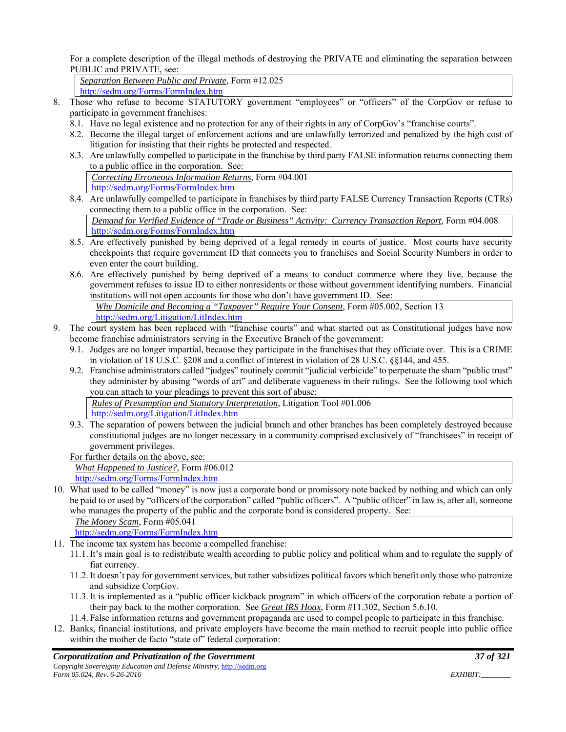For a complete description of the illegal methods of destroying the PRIVATE and eliminating the separation between PUBLIC and PRIVATE, see:

*Separation Between Public and Private*, Form #12.025

http://sedm.org/Forms/FormIndex.htm

- 8. Those who refuse to become STATUTORY government "employees" or "officers" of the CorpGov or refuse to participate in government franchises:
	- 8.1. Have no legal existence and no protection for any of their rights in any of CorpGov's "franchise courts".
	- 8.2. Become the illegal target of enforcement actions and are unlawfully terrorized and penalized by the high cost of litigation for insisting that their rights be protected and respected.
	- 8.3. Are unlawfully compelled to participate in the franchise by third party FALSE information returns connecting them to a public office in the corporation. See: *Correcting Erroneous Information Returns*, Form #04.001 http://sedm.org/Forms/FormIndex.htm
	- 8.4. Are unlawfully compelled to participate in franchises by third party FALSE Currency Transaction Reports (CTRs) connecting them to a public office in the corporation. See:

*Demand for Verified Evidence of "Trade or Business" Activity: Currency Transaction Report*, Form #04.008 http://sedm.org/Forms/FormIndex.htm

- 8.5. Are effectively punished by being deprived of a legal remedy in courts of justice. Most courts have security checkpoints that require government ID that connects you to franchises and Social Security Numbers in order to even enter the court building.
- 8.6. Are effectively punished by being deprived of a means to conduct commerce where they live, because the government refuses to issue ID to either nonresidents or those without government identifying numbers. Financial institutions will not open accounts for those who don't have government ID. See:

*Why Domicile and Becoming a "Taxpayer" Require Your Consent*, Form #05.002, Section 13 http://sedm.org/Litigation/LitIndex.htm

- 9. The court system has been replaced with "franchise courts" and what started out as Constitutional judges have now become franchise administrators serving in the Executive Branch of the government:
	- 9.1. Judges are no longer impartial, because they participate in the franchises that they officiate over. This is a CRIME in violation of 18 U.S.C. §208 and a conflict of interest in violation of 28 U.S.C. §§144, and 455.
	- 9.2. Franchise administrators called "judges" routinely commit "judicial verbicide" to perpetuate the sham "public trust" they administer by abusing "words of art" and deliberate vagueness in their rulings. See the following tool which you can attach to your pleadings to prevent this sort of abuse:

*Rules of Presumption and Statutory Interpretation*, Litigation Tool #01.006

http://sedm.org/Litigation/LitIndex.htm

9.3. The separation of powers between the judicial branch and other branches has been completely destroyed because constitutional judges are no longer necessary in a community comprised exclusively of "franchisees" in receipt of government privileges.

For further details on the above, see:

*What Happened to Justice?*, Form #06.012

http://sedm.org/Forms/FormIndex.htm

10. What used to be called "money" is now just a corporate bond or promissory note backed by nothing and which can only be paid to or used by "officers of the corporation" called "public officers". A "public officer" in law is, after all, someone who manages the property of the public and the corporate bond is considered property. See:

*The Money Scam*, Form #05.041

http://sedm.org/Forms/FormIndex.htm

- 11. The income tax system has become a compelled franchise:
	- 11.1.It's main goal is to redistribute wealth according to public policy and political whim and to regulate the supply of fiat currency.
	- 11.2.It doesn't pay for government services, but rather subsidizes political favors which benefit only those who patronize and subsidize CorpGov.
	- 11.3.It is implemented as a "public officer kickback program" in which officers of the corporation rebate a portion of their pay back to the mother corporation. See *Great IRS Hoax*, Form #11.302, Section 5.6.10.
	- 11.4. False information returns and government propaganda are used to compel people to participate in this franchise.
- 12. Banks, financial institutions, and private employers have become the main method to recruit people into public office within the mother de facto "state of" federal corporation: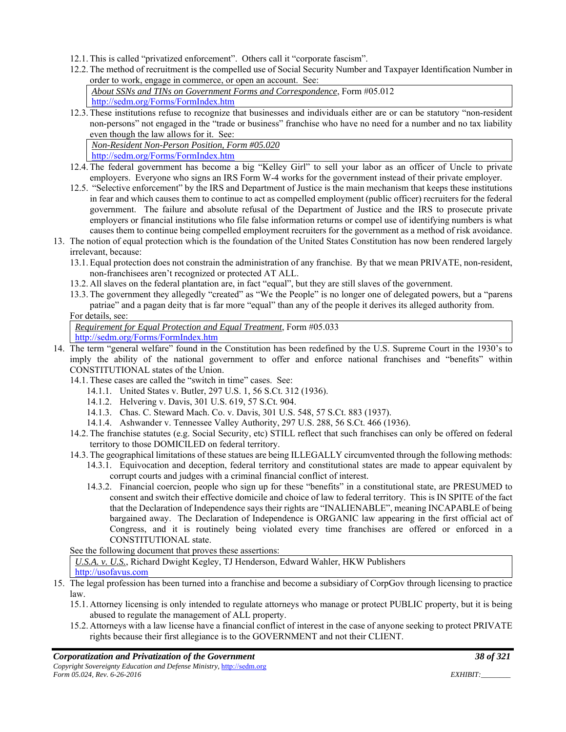- 12.1. This is called "privatized enforcement". Others call it "corporate fascism".
- 12.2. The method of recruitment is the compelled use of Social Security Number and Taxpayer Identification Number in order to work, engage in commerce, or open an account. See:

| About SSNs and TINs on Government Forms and Correspondence, Form $\#05.012$ |  |
|-----------------------------------------------------------------------------|--|
| http://sedm.org/Forms/FormIndex.htm                                         |  |

12.3. These institutions refuse to recognize that businesses and individuals either are or can be statutory "non-resident non-persons" not engaged in the "trade or business" franchise who have no need for a number and no tax liability even though the law allows for it. See:

*Non-Resident Non-Person Position, Form #05.020* http://sedm.org/Forms/FormIndex.htm

- 12.4. The federal government has become a big "Kelley Girl" to sell your labor as an officer of Uncle to private employers. Everyone who signs an IRS Form W-4 works for the government instead of their private employer.
- 12.5. "Selective enforcement" by the IRS and Department of Justice is the main mechanism that keeps these institutions in fear and which causes them to continue to act as compelled employment (public officer) recruiters for the federal government. The failure and absolute refusal of the Department of Justice and the IRS to prosecute private employers or financial institutions who file false information returns or compel use of identifying numbers is what causes them to continue being compelled employment recruiters for the government as a method of risk avoidance.
- 13. The notion of equal protection which is the foundation of the United States Constitution has now been rendered largely irrelevant, because:
	- 13.1. Equal protection does not constrain the administration of any franchise. By that we mean PRIVATE, non-resident, non-franchisees aren't recognized or protected AT ALL.
	- 13.2. All slaves on the federal plantation are, in fact "equal", but they are still slaves of the government.
	- 13.3. The government they allegedly "created" as "We the People" is no longer one of delegated powers, but a "parens patriae" and a pagan deity that is far more "equal" than any of the people it derives its alleged authority from.

#### For details, see:

*Requirement for Equal Protection and Equal Treatment*, Form #05.033 http://sedm.org/Forms/FormIndex.htm

- 14. The term "general welfare" found in the Constitution has been redefined by the U.S. Supreme Court in the 1930's to imply the ability of the national government to offer and enforce national franchises and "benefits" within CONSTITUTIONAL states of the Union.
	- 14.1. These cases are called the "switch in time" cases. See:
		- 14.1.1. United States v. Butler, 297 U.S. 1, 56 S.Ct. 312 (1936).
		- 14.1.2. Helvering v. Davis, 301 U.S. 619, 57 S.Ct. 904.
		- 14.1.3. Chas. C. Steward Mach. Co. v. Davis, 301 U.S. 548, 57 S.Ct. 883 (1937).
		- 14.1.4. Ashwander v. Tennessee Valley Authority, 297 U.S. 288, 56 S.Ct. 466 (1936).
	- 14.2. The franchise statutes (e.g. Social Security, etc) STILL reflect that such franchises can only be offered on federal territory to those DOMICILED on federal territory.
	- 14.3. The geographical limitations of these statues are being ILLEGALLY circumvented through the following methods: 14.3.1. Equivocation and deception, federal territory and constitutional states are made to appear equivalent by corrupt courts and judges with a criminal financial conflict of interest.
		- 14.3.2. Financial coercion, people who sign up for these "benefits" in a constitutional state, are PRESUMED to consent and switch their effective domicile and choice of law to federal territory. This is IN SPITE of the fact that the Declaration of Independence says their rights are "INALIENABLE", meaning INCAPABLE of being bargained away. The Declaration of Independence is ORGANIC law appearing in the first official act of Congress, and it is routinely being violated every time franchises are offered or enforced in a CONSTITUTIONAL state.

See the following document that proves these assertions:

*U.S.A. v. U.S.*, Richard Dwight Kegley, TJ Henderson, Edward Wahler, HKW Publishers http://usofavus.com

- 15. The legal profession has been turned into a franchise and become a subsidiary of CorpGov through licensing to practice law.
	- 15.1. Attorney licensing is only intended to regulate attorneys who manage or protect PUBLIC property, but it is being abused to regulate the management of ALL property.
	- 15.2. Attorneys with a law license have a financial conflict of interest in the case of anyone seeking to protect PRIVATE rights because their first allegiance is to the GOVERNMENT and not their CLIENT.